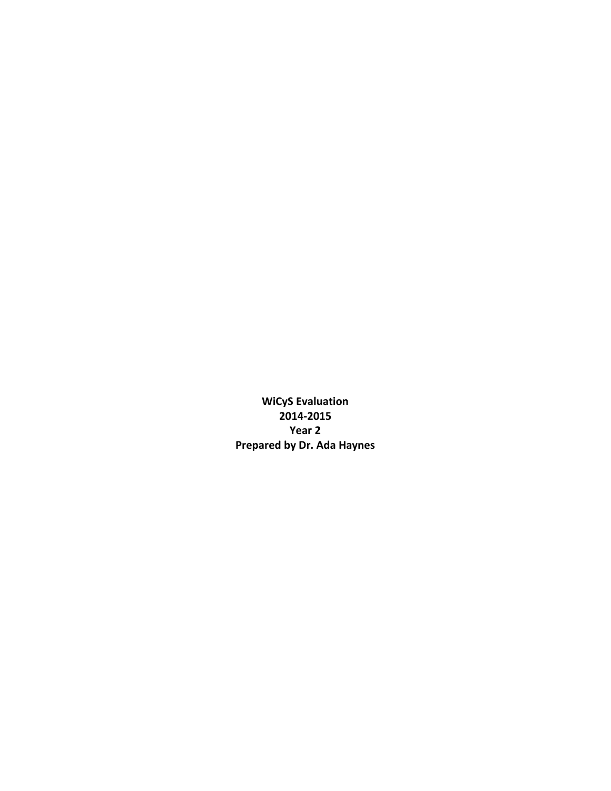**WiCyS Evaluation 2014-2015 Year 2 Prepared by Dr. Ada Haynes**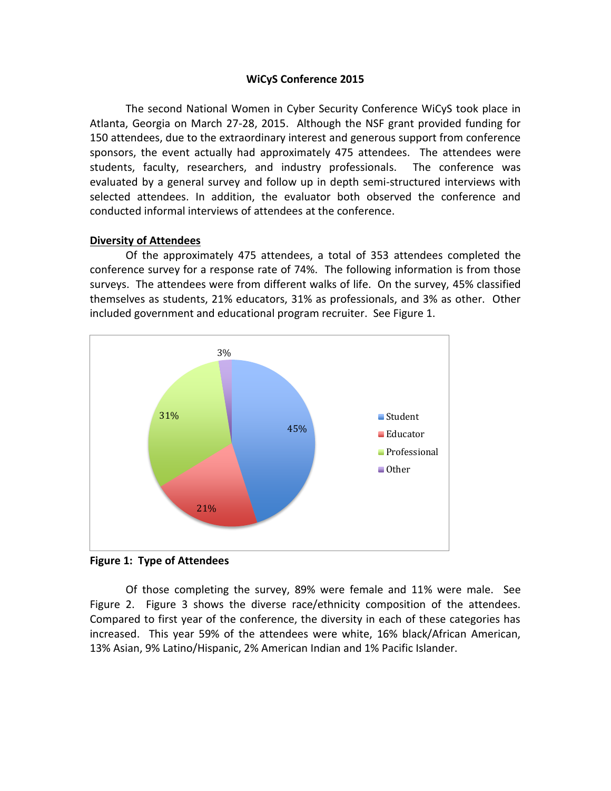### **WiCyS Conference 2015**

The second National Women in Cyber Security Conference WiCyS took place in Atlanta, Georgia on March 27-28, 2015. Although the NSF grant provided funding for 150 attendees, due to the extraordinary interest and generous support from conference sponsors, the event actually had approximately 475 attendees. The attendees were students, faculty, researchers, and industry professionals. The conference was evaluated by a general survey and follow up in depth semi-structured interviews with selected attendees. In addition, the evaluator both observed the conference and conducted informal interviews of attendees at the conference.

## **Diversity of Attendees**

Of the approximately 475 attendees, a total of 353 attendees completed the conference survey for a response rate of 74%. The following information is from those surveys. The attendees were from different walks of life. On the survey, 45% classified themselves as students, 21% educators, 31% as professionals, and 3% as other. Other included government and educational program recruiter. See Figure 1.



**Figure 1: Type of Attendees**

Of those completing the survey, 89% were female and 11% were male. See Figure 2. Figure 3 shows the diverse race/ethnicity composition of the attendees. Compared to first year of the conference, the diversity in each of these categories has increased. This year 59% of the attendees were white, 16% black/African American, 13% Asian, 9% Latino/Hispanic, 2% American Indian and 1% Pacific Islander.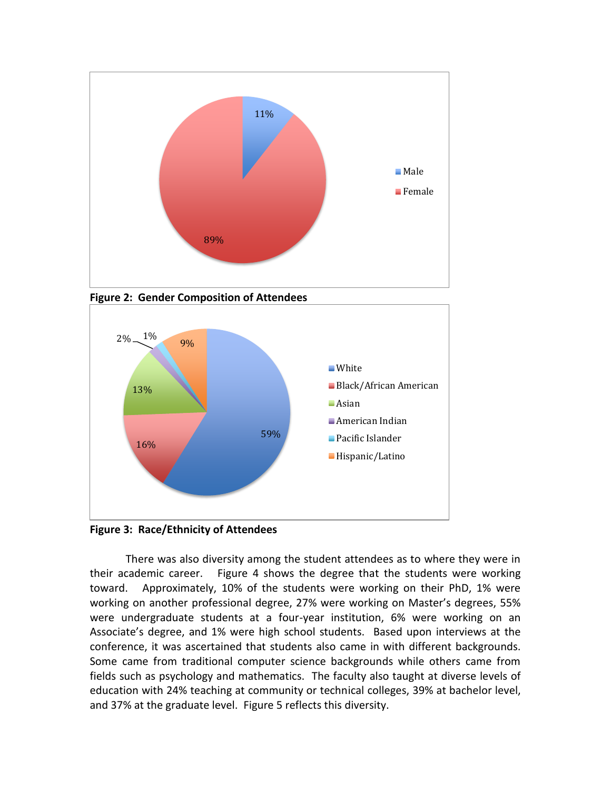

**Figure 2: Gender Composition of Attendees**



**Figure 3: Race/Ethnicity of Attendees**

There was also diversity among the student attendees as to where they were in their academic career. Figure 4 shows the degree that the students were working toward. Approximately, 10% of the students were working on their PhD, 1% were working on another professional degree, 27% were working on Master's degrees, 55% were undergraduate students at a four-year institution, 6% were working on an Associate's degree, and 1% were high school students. Based upon interviews at the conference, it was ascertained that students also came in with different backgrounds. Some came from traditional computer science backgrounds while others came from fields such as psychology and mathematics. The faculty also taught at diverse levels of education with 24% teaching at community or technical colleges, 39% at bachelor level, and 37% at the graduate level. Figure 5 reflects this diversity.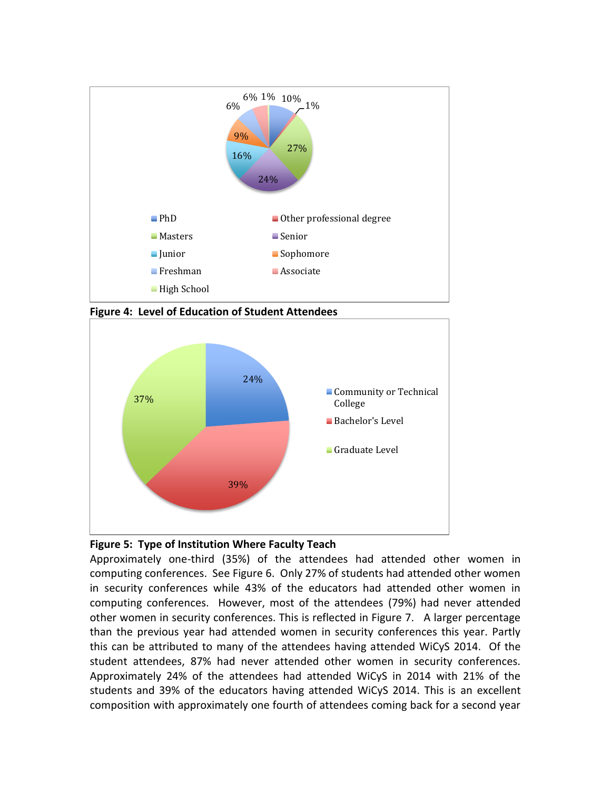

**Figure 4: Level of Education of Student Attendees**



# **Figure 5: Type of Institution Where Faculty Teach**

Approximately one-third (35%) of the attendees had attended other women in computing conferences. See Figure 6. Only 27% of students had attended other women in security conferences while 43% of the educators had attended other women in computing conferences. However, most of the attendees (79%) had never attended other women in security conferences. This is reflected in Figure 7. A larger percentage than the previous year had attended women in security conferences this year. Partly this can be attributed to many of the attendees having attended WiCyS 2014. Of the student attendees, 87% had never attended other women in security conferences. Approximately 24% of the attendees had attended WiCyS in 2014 with 21% of the students and 39% of the educators having attended WiCyS 2014. This is an excellent composition with approximately one fourth of attendees coming back for a second year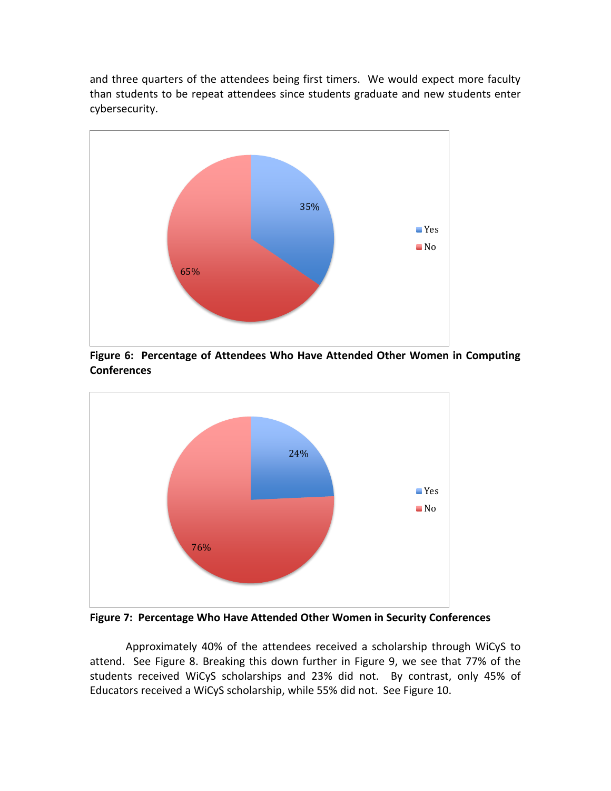and three quarters of the attendees being first timers. We would expect more faculty than students to be repeat attendees since students graduate and new students enter cybersecurity.



**Figure 6: Percentage of Attendees Who Have Attended Other Women in Computing Conferences**



**Figure 7: Percentage Who Have Attended Other Women in Security Conferences**

Approximately 40% of the attendees received a scholarship through WiCyS to attend. See Figure 8. Breaking this down further in Figure 9, we see that 77% of the students received WiCyS scholarships and 23% did not. By contrast, only 45% of Educators received a WiCyS scholarship, while 55% did not. See Figure 10.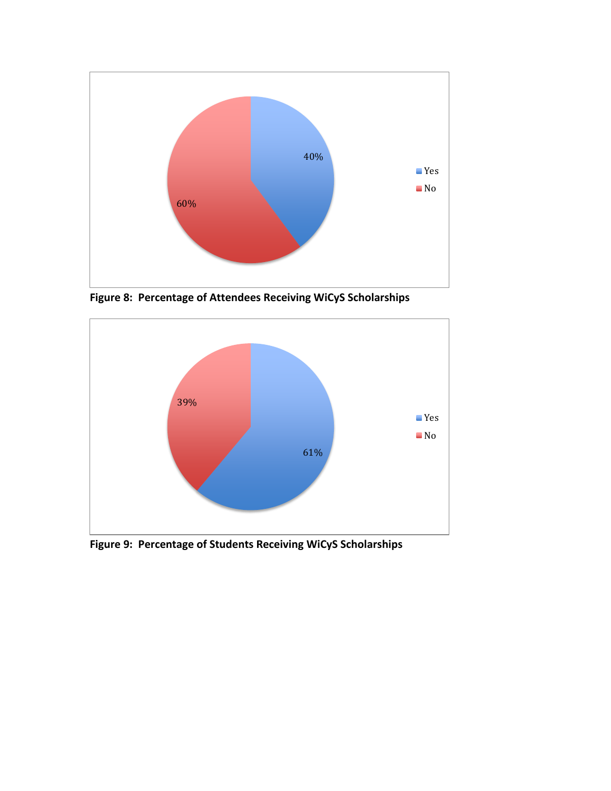

**Figure 8: Percentage of Attendees Receiving WiCyS Scholarships**



**Figure 9: Percentage of Students Receiving WiCyS Scholarships**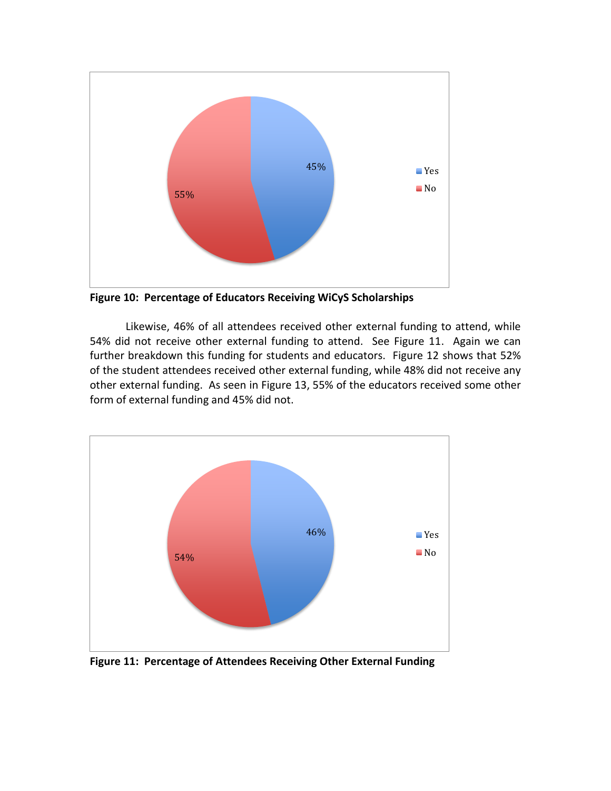

**Figure 10: Percentage of Educators Receiving WiCyS Scholarships**

Likewise, 46% of all attendees received other external funding to attend, while 54% did not receive other external funding to attend. See Figure 11. Again we can further breakdown this funding for students and educators. Figure 12 shows that 52% of the student attendees received other external funding, while 48% did not receive any other external funding. As seen in Figure 13, 55% of the educators received some other form of external funding and 45% did not.



**Figure 11: Percentage of Attendees Receiving Other External Funding**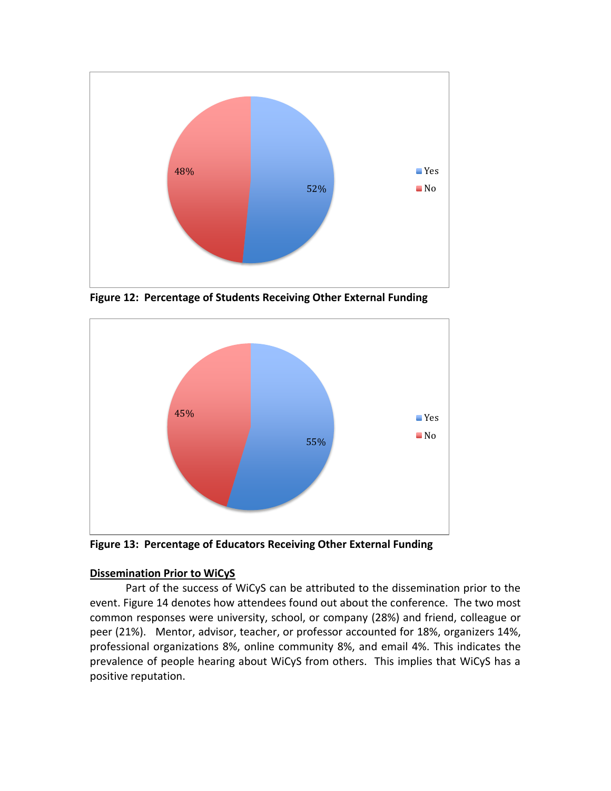

**Figure 12: Percentage of Students Receiving Other External Funding**



**Figure 13: Percentage of Educators Receiving Other External Funding**

# **Dissemination Prior to WiCyS**

Part of the success of WiCyS can be attributed to the dissemination prior to the event. Figure 14 denotes how attendees found out about the conference. The two most common responses were university, school, or company (28%) and friend, colleague or peer (21%). Mentor, advisor, teacher, or professor accounted for 18%, organizers 14%, professional organizations 8%, online community 8%, and email 4%. This indicates the prevalence of people hearing about WiCyS from others. This implies that WiCyS has a positive reputation.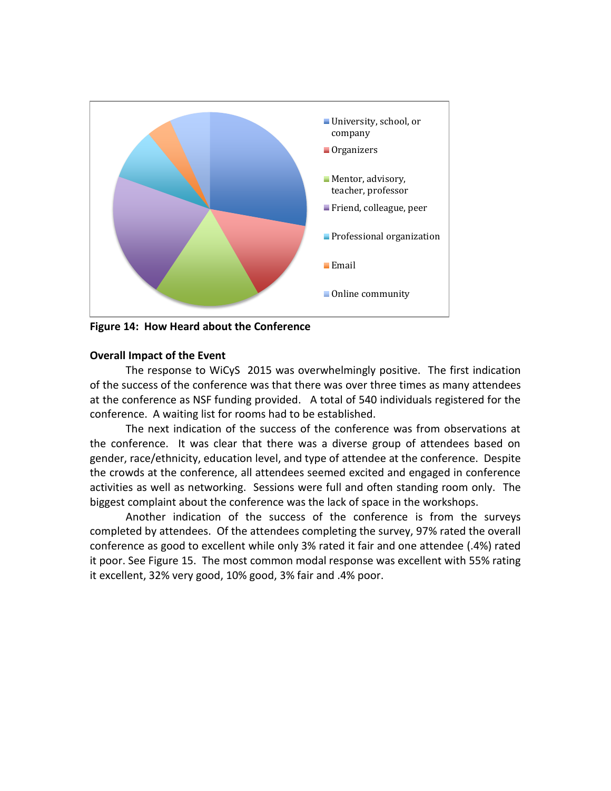

**Figure 14: How Heard about the Conference**

## **Overall Impact of the Event**

The response to WiCyS 2015 was overwhelmingly positive. The first indication of the success of the conference was that there was over three times as many attendees at the conference as NSF funding provided. A total of 540 individuals registered for the conference. A waiting list for rooms had to be established.

The next indication of the success of the conference was from observations at the conference. It was clear that there was a diverse group of attendees based on gender, race/ethnicity, education level, and type of attendee at the conference. Despite the crowds at the conference, all attendees seemed excited and engaged in conference activities as well as networking. Sessions were full and often standing room only. The biggest complaint about the conference was the lack of space in the workshops.

Another indication of the success of the conference is from the surveys completed by attendees. Of the attendees completing the survey, 97% rated the overall conference as good to excellent while only 3% rated it fair and one attendee (.4%) rated it poor. See Figure 15. The most common modal response was excellent with 55% rating it excellent, 32% very good, 10% good, 3% fair and .4% poor.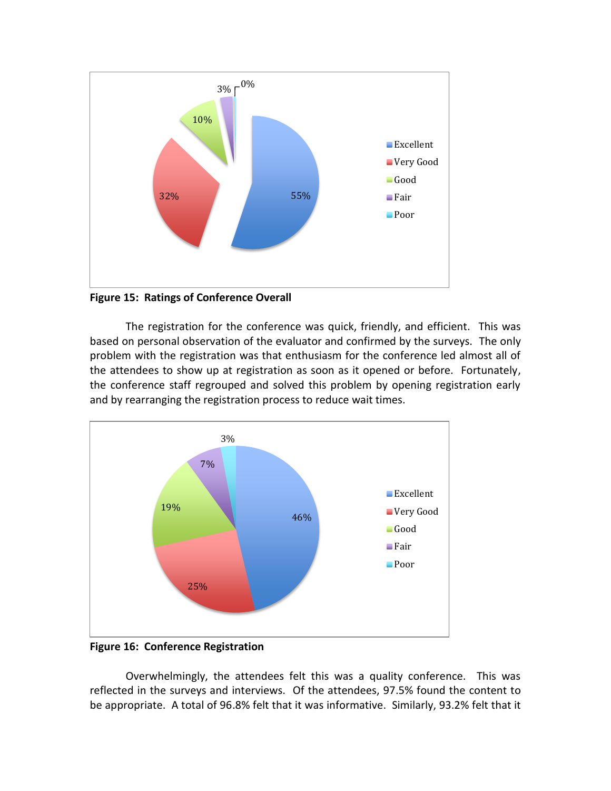

**Figure 15: Ratings of Conference Overall**

The registration for the conference was quick, friendly, and efficient. This was based on personal observation of the evaluator and confirmed by the surveys. The only problem with the registration was that enthusiasm for the conference led almost all of the attendees to show up at registration as soon as it opened or before. Fortunately, the conference staff regrouped and solved this problem by opening registration early and by rearranging the registration process to reduce wait times.



**Figure 16: Conference Registration**

Overwhelmingly, the attendees felt this was a quality conference. This was reflected in the surveys and interviews. Of the attendees, 97.5% found the content to be appropriate. A total of 96.8% felt that it was informative. Similarly, 93.2% felt that it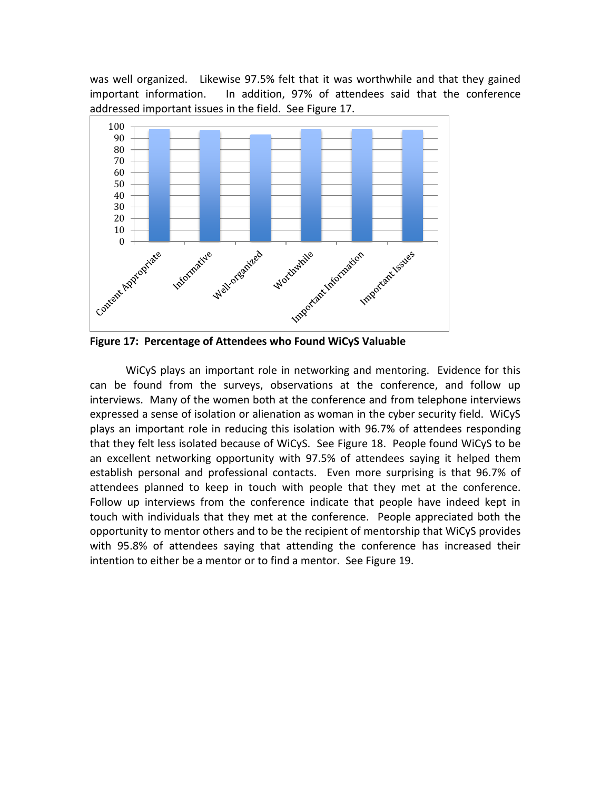was well organized. Likewise 97.5% felt that it was worthwhile and that they gained important information. In addition, 97% of attendees said that the conference addressed important issues in the field. See Figure 17.



**Figure 17: Percentage of Attendees who Found WiCyS Valuable**

WiCyS plays an important role in networking and mentoring. Evidence for this can be found from the surveys, observations at the conference, and follow up interviews. Many of the women both at the conference and from telephone interviews expressed a sense of isolation or alienation as woman in the cyber security field. WiCyS plays an important role in reducing this isolation with 96.7% of attendees responding that they felt less isolated because of WiCyS. See Figure 18. People found WiCyS to be an excellent networking opportunity with 97.5% of attendees saying it helped them establish personal and professional contacts. Even more surprising is that 96.7% of attendees planned to keep in touch with people that they met at the conference. Follow up interviews from the conference indicate that people have indeed kept in touch with individuals that they met at the conference. People appreciated both the opportunity to mentor others and to be the recipient of mentorship that WiCyS provides with 95.8% of attendees saying that attending the conference has increased their intention to either be a mentor or to find a mentor. See Figure 19.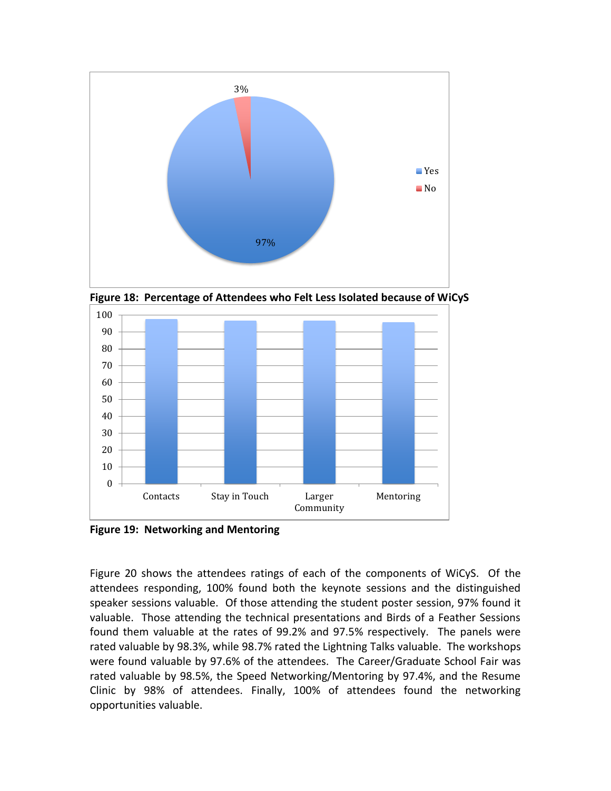

**Figure 18: Percentage of Attendees who Felt Less Isolated because of WiCyS**



**Figure 19: Networking and Mentoring**

Figure 20 shows the attendees ratings of each of the components of WiCyS. Of the attendees responding, 100% found both the keynote sessions and the distinguished speaker sessions valuable. Of those attending the student poster session, 97% found it valuable. Those attending the technical presentations and Birds of a Feather Sessions found them valuable at the rates of 99.2% and 97.5% respectively. The panels were rated valuable by 98.3%, while 98.7% rated the Lightning Talks valuable. The workshops were found valuable by 97.6% of the attendees. The Career/Graduate School Fair was rated valuable by 98.5%, the Speed Networking/Mentoring by 97.4%, and the Resume Clinic by 98% of attendees. Finally, 100% of attendees found the networking opportunities valuable.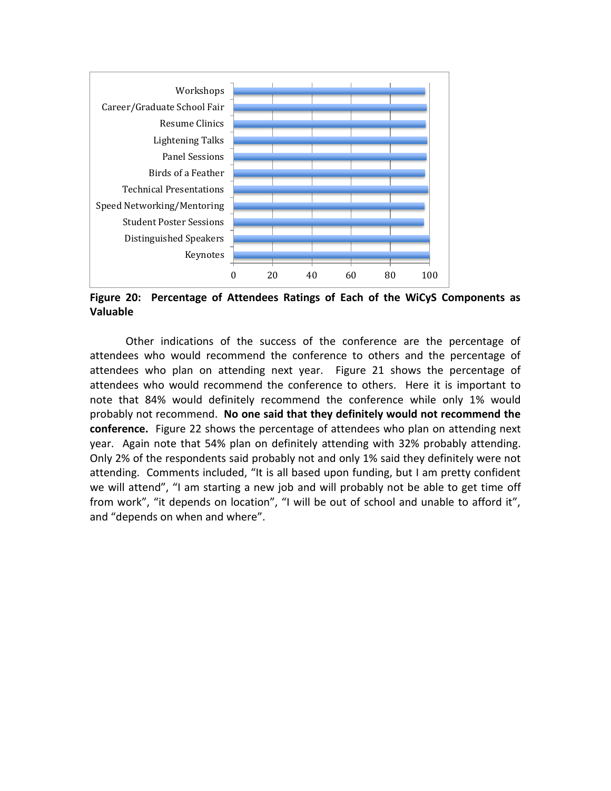

**Figure 20: Percentage of Attendees Ratings of Each of the WiCyS Components as Valuable**

Other indications of the success of the conference are the percentage of attendees who would recommend the conference to others and the percentage of attendees who plan on attending next year. Figure 21 shows the percentage of attendees who would recommend the conference to others. Here it is important to note that 84% would definitely recommend the conference while only 1% would probably not recommend. **No one said that they definitely would not recommend the conference.** Figure 22 shows the percentage of attendees who plan on attending next year. Again note that 54% plan on definitely attending with 32% probably attending. Only 2% of the respondents said probably not and only 1% said they definitely were not attending. Comments included, "It is all based upon funding, but I am pretty confident we will attend", "I am starting a new job and will probably not be able to get time off from work", "it depends on location", "I will be out of school and unable to afford it", and "depends on when and where".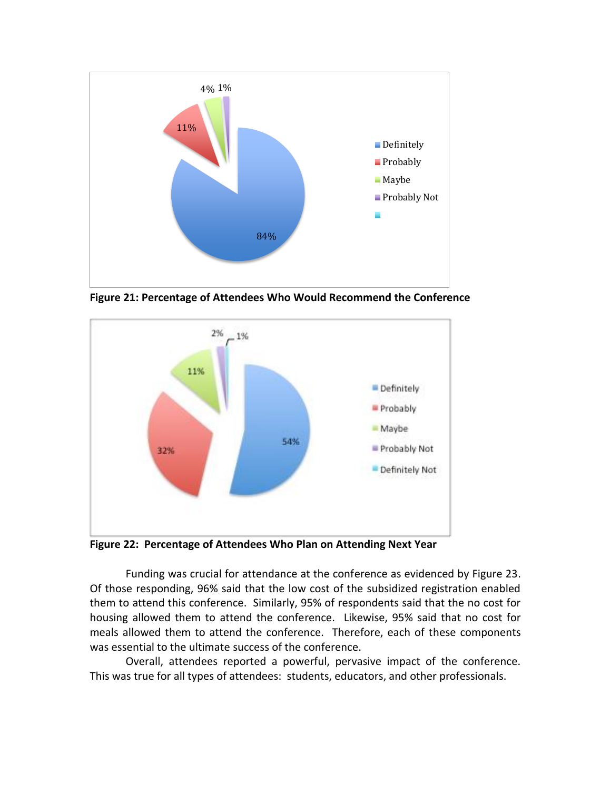

**Figure 21: Percentage of Attendees Who Would Recommend the Conference**



**Figure 22: Percentage of Attendees Who Plan on Attending Next Year**

Funding was crucial for attendance at the conference as evidenced by Figure 23. Of those responding, 96% said that the low cost of the subsidized registration enabled them to attend this conference. Similarly, 95% of respondents said that the no cost for housing allowed them to attend the conference. Likewise, 95% said that no cost for meals allowed them to attend the conference. Therefore, each of these components was essential to the ultimate success of the conference.

Overall, attendees reported a powerful, pervasive impact of the conference. This was true for all types of attendees: students, educators, and other professionals.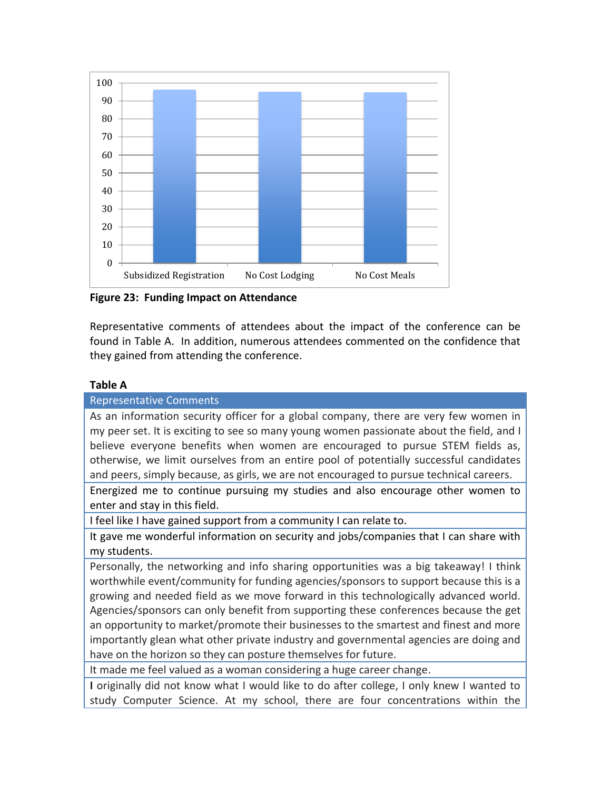

**Figure 23: Funding Impact on Attendance**

Representative comments of attendees about the impact of the conference can be found in Table A. In addition, numerous attendees commented on the confidence that they gained from attending the conference.

# **Table A**

Representative Comments As an information security officer for a global company, there are very few women in my peer set. It is exciting to see so many young women passionate about the field, and I believe everyone benefits when women are encouraged to pursue STEM fields as, otherwise, we limit ourselves from an entire pool of potentially successful candidates and peers, simply because, as girls, we are not encouraged to pursue technical careers.

Energized me to continue pursuing my studies and also encourage other women to enter and stay in this field.

I feel like I have gained support from a community I can relate to.

It gave me wonderful information on security and jobs/companies that I can share with my students.

Personally, the networking and info sharing opportunities was a big takeaway! I think worthwhile event/community for funding agencies/sponsors to support because this is a growing and needed field as we move forward in this technologically advanced world. Agencies/sponsors can only benefit from supporting these conferences because the get an opportunity to market/promote their businesses to the smartest and finest and more importantly glean what other private industry and governmental agencies are doing and have on the horizon so they can posture themselves for future.

It made me feel valued as a woman considering a huge career change.

**I** originally did not know what I would like to do after college, I only knew I wanted to study Computer Science. At my school, there are four concentrations within the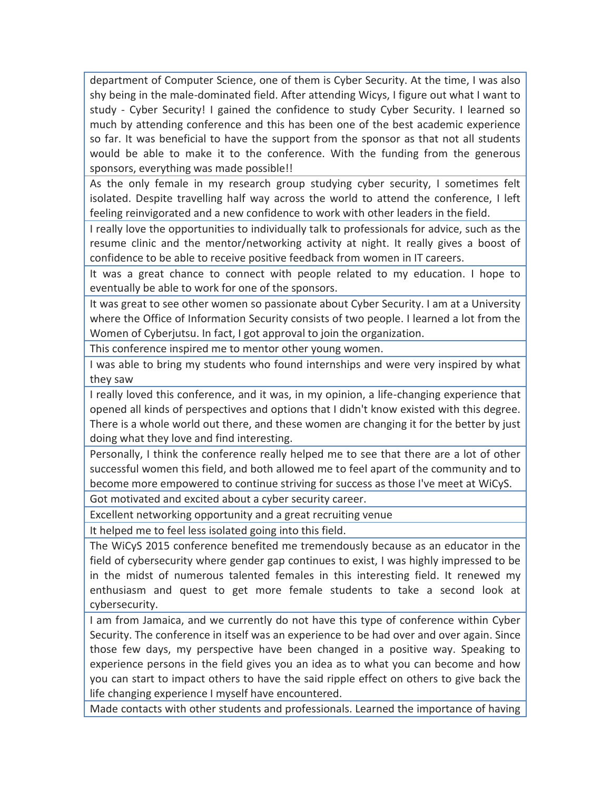department of Computer Science, one of them is Cyber Security. At the time, I was also shy being in the male-dominated field. After attending Wicys, I figure out what I want to study - Cyber Security! I gained the confidence to study Cyber Security. I learned so much by attending conference and this has been one of the best academic experience so far. It was beneficial to have the support from the sponsor as that not all students would be able to make it to the conference. With the funding from the generous sponsors, everything was made possible!!

As the only female in my research group studying cyber security, I sometimes felt isolated. Despite travelling half way across the world to attend the conference, I left feeling reinvigorated and a new confidence to work with other leaders in the field.

I really love the opportunities to individually talk to professionals for advice, such as the resume clinic and the mentor/networking activity at night. It really gives a boost of confidence to be able to receive positive feedback from women in IT careers.

It was a great chance to connect with people related to my education. I hope to eventually be able to work for one of the sponsors.

It was great to see other women so passionate about Cyber Security. I am at a University where the Office of Information Security consists of two people. I learned a lot from the Women of Cyberjutsu. In fact, I got approval to join the organization.

This conference inspired me to mentor other young women.

I was able to bring my students who found internships and were very inspired by what they saw

I really loved this conference, and it was, in my opinion, a life-changing experience that opened all kinds of perspectives and options that I didn't know existed with this degree. There is a whole world out there, and these women are changing it for the better by just doing what they love and find interesting.

Personally, I think the conference really helped me to see that there are a lot of other successful women this field, and both allowed me to feel apart of the community and to become more empowered to continue striving for success as those I've meet at WiCyS.

Got motivated and excited about a cyber security career.

Excellent networking opportunity and a great recruiting venue

It helped me to feel less isolated going into this field.

The WiCyS 2015 conference benefited me tremendously because as an educator in the field of cybersecurity where gender gap continues to exist, I was highly impressed to be in the midst of numerous talented females in this interesting field. It renewed my enthusiasm and quest to get more female students to take a second look at cybersecurity.

I am from Jamaica, and we currently do not have this type of conference within Cyber Security. The conference in itself was an experience to be had over and over again. Since those few days, my perspective have been changed in a positive way. Speaking to experience persons in the field gives you an idea as to what you can become and how you can start to impact others to have the said ripple effect on others to give back the life changing experience I myself have encountered.

Made contacts with other students and professionals. Learned the importance of having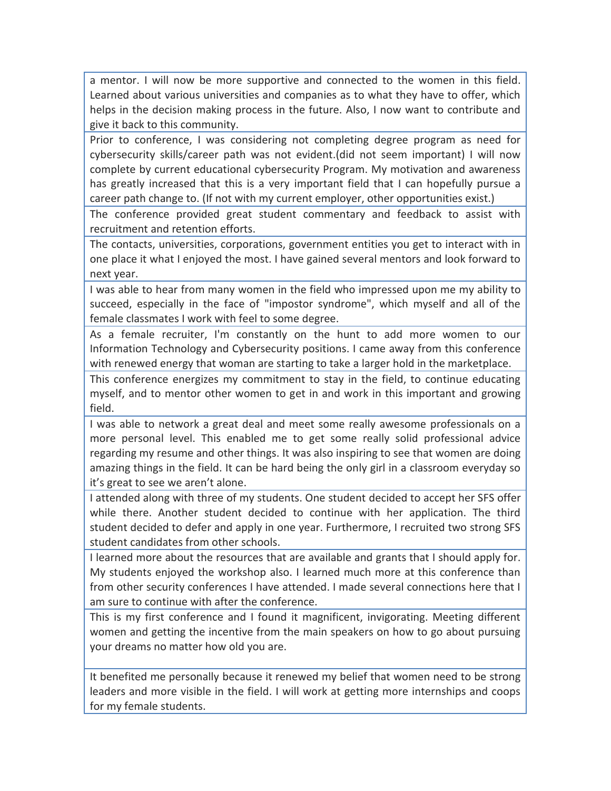a mentor. I will now be more supportive and connected to the women in this field. Learned about various universities and companies as to what they have to offer, which helps in the decision making process in the future. Also, I now want to contribute and give it back to this community.

Prior to conference, I was considering not completing degree program as need for cybersecurity skills/career path was not evident.(did not seem important) I will now complete by current educational cybersecurity Program. My motivation and awareness has greatly increased that this is a very important field that I can hopefully pursue a career path change to. (If not with my current employer, other opportunities exist.)

The conference provided great student commentary and feedback to assist with recruitment and retention efforts.

The contacts, universities, corporations, government entities you get to interact with in one place it what I enjoyed the most. I have gained several mentors and look forward to next year.

I was able to hear from many women in the field who impressed upon me my ability to succeed, especially in the face of "impostor syndrome", which myself and all of the female classmates I work with feel to some degree.

As a female recruiter, I'm constantly on the hunt to add more women to our Information Technology and Cybersecurity positions. I came away from this conference with renewed energy that woman are starting to take a larger hold in the marketplace.

This conference energizes my commitment to stay in the field, to continue educating myself, and to mentor other women to get in and work in this important and growing field.

I was able to network a great deal and meet some really awesome professionals on a more personal level. This enabled me to get some really solid professional advice regarding my resume and other things. It was also inspiring to see that women are doing amazing things in the field. It can be hard being the only girl in a classroom everyday so it's great to see we aren't alone.

I attended along with three of my students. One student decided to accept her SFS offer while there. Another student decided to continue with her application. The third student decided to defer and apply in one year. Furthermore, I recruited two strong SFS student candidates from other schools.

I learned more about the resources that are available and grants that I should apply for. My students enjoyed the workshop also. I learned much more at this conference than from other security conferences I have attended. I made several connections here that I am sure to continue with after the conference.

This is my first conference and I found it magnificent, invigorating. Meeting different women and getting the incentive from the main speakers on how to go about pursuing your dreams no matter how old you are.

It benefited me personally because it renewed my belief that women need to be strong leaders and more visible in the field. I will work at getting more internships and coops for my female students.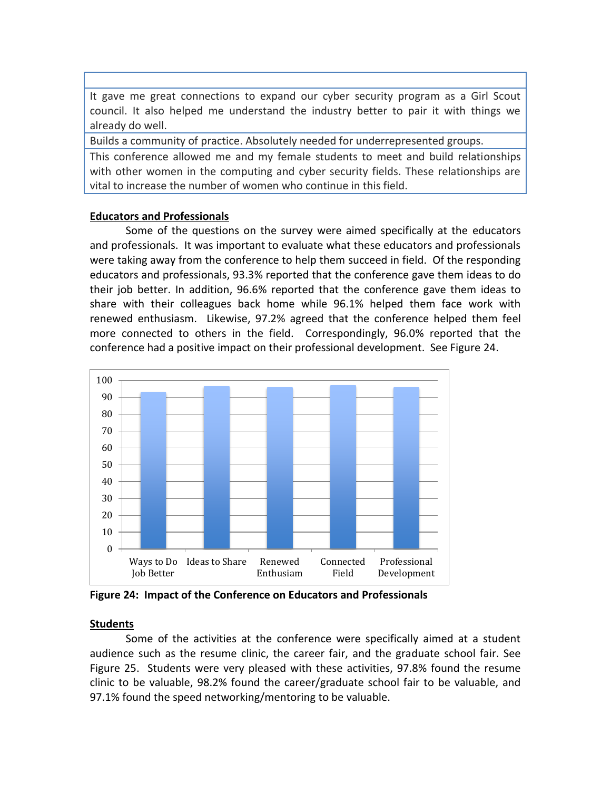It gave me great connections to expand our cyber security program as a Girl Scout council. It also helped me understand the industry better to pair it with things we already do well.

Builds a community of practice. Absolutely needed for underrepresented groups.

This conference allowed me and my female students to meet and build relationships with other women in the computing and cyber security fields. These relationships are vital to increase the number of women who continue in this field.

# **Educators and Professionals**

Some of the questions on the survey were aimed specifically at the educators and professionals. It was important to evaluate what these educators and professionals were taking away from the conference to help them succeed in field. Of the responding educators and professionals, 93.3% reported that the conference gave them ideas to do their job better. In addition, 96.6% reported that the conference gave them ideas to share with their colleagues back home while 96.1% helped them face work with renewed enthusiasm. Likewise, 97.2% agreed that the conference helped them feel more connected to others in the field. Correspondingly, 96.0% reported that the conference had a positive impact on their professional development. See Figure 24.



**Figure 24: Impact of the Conference on Educators and Professionals**

# **Students**

Some of the activities at the conference were specifically aimed at a student audience such as the resume clinic, the career fair, and the graduate school fair. See Figure 25. Students were very pleased with these activities, 97.8% found the resume clinic to be valuable, 98.2% found the career/graduate school fair to be valuable, and 97.1% found the speed networking/mentoring to be valuable.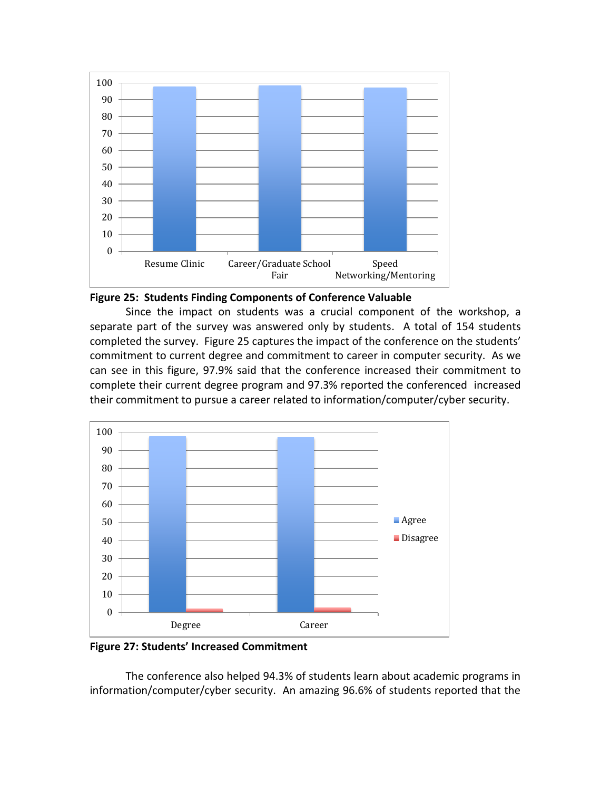



Since the impact on students was a crucial component of the workshop, a separate part of the survey was answered only by students. A total of 154 students completed the survey. Figure 25 captures the impact of the conference on the students' commitment to current degree and commitment to career in computer security. As we can see in this figure, 97.9% said that the conference increased their commitment to complete their current degree program and 97.3% reported the conferenced increased their commitment to pursue a career related to information/computer/cyber security.



**Figure 27: Students' Increased Commitment**

The conference also helped 94.3% of students learn about academic programs in information/computer/cyber security. An amazing 96.6% of students reported that the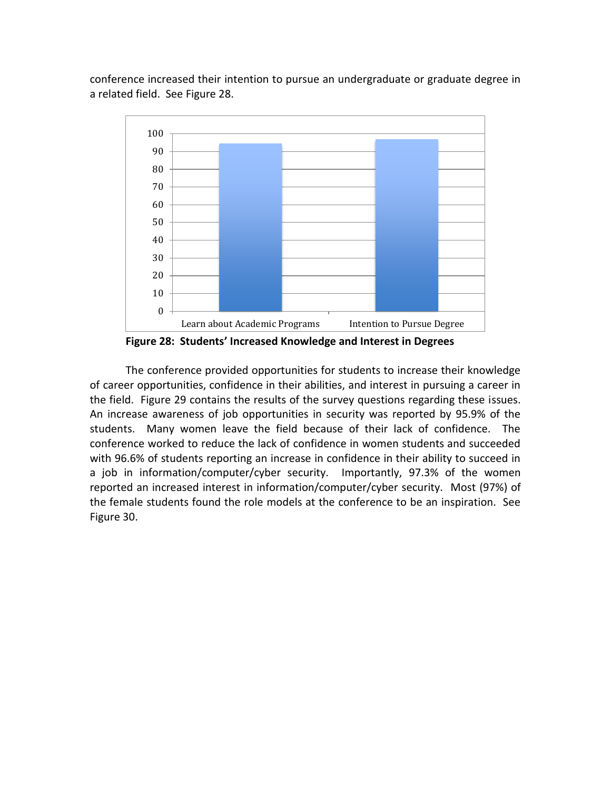conference increased their intention to pursue an undergraduate or graduate degree in a related field. See Figure 28.



**Figure 28: Students' Increased Knowledge and Interest in Degrees**

The conference provided opportunities for students to increase their knowledge of career opportunities, confidence in their abilities, and interest in pursuing a career in the field. Figure 29 contains the results of the survey questions regarding these issues. An increase awareness of job opportunities in security was reported by 95.9% of the students. Many women leave the field because of their lack of confidence. The conference worked to reduce the lack of confidence in women students and succeeded with 96.6% of students reporting an increase in confidence in their ability to succeed in a job in information/computer/cyber security. Importantly, 97.3% of the women reported an increased interest in information/computer/cyber security. Most (97%) of the female students found the role models at the conference to be an inspiration. See Figure 30.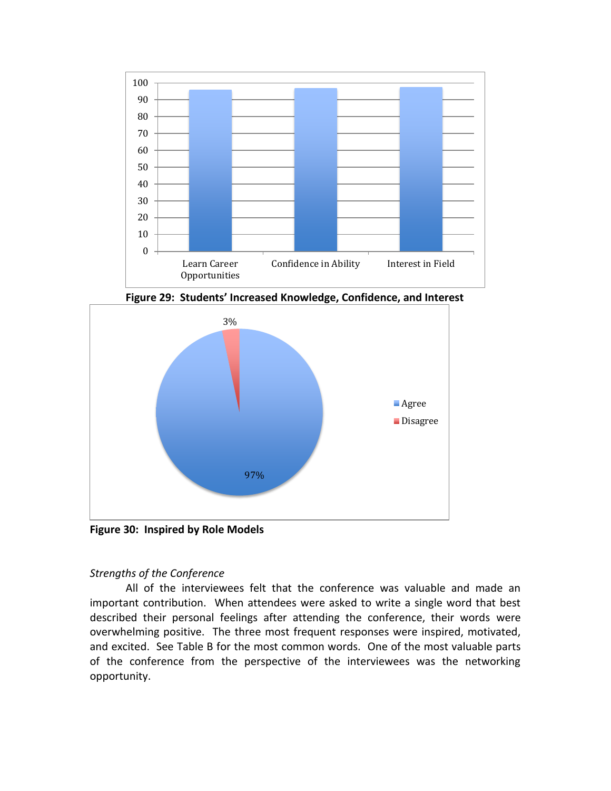

**Figure 29: Students' Increased Knowledge, Confidence, and Interest**



**Figure 30: Inspired by Role Models**

# *Strengths of the Conference*

All of the interviewees felt that the conference was valuable and made an important contribution. When attendees were asked to write a single word that best described their personal feelings after attending the conference, their words were overwhelming positive. The three most frequent responses were inspired, motivated, and excited. See Table B for the most common words. One of the most valuable parts of the conference from the perspective of the interviewees was the networking opportunity.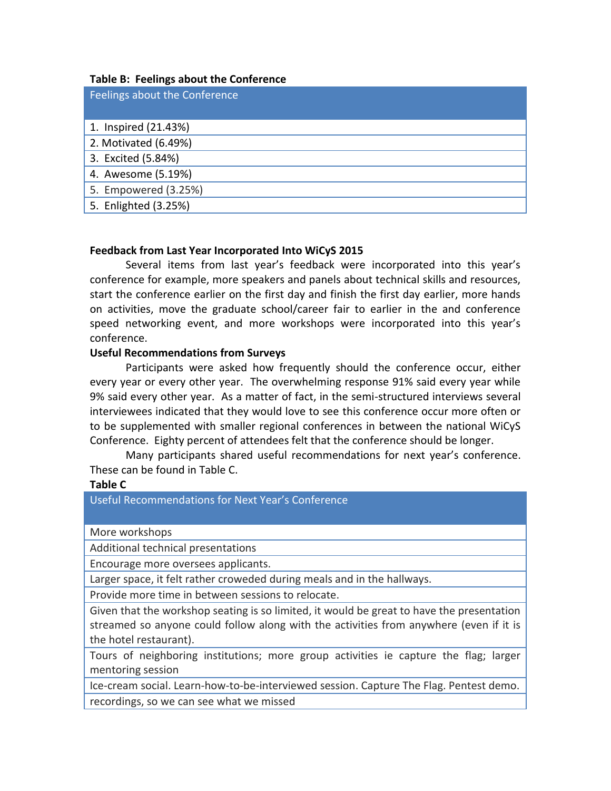## **Table B: Feelings about the Conference**

| Feelings about the Conference |
|-------------------------------|
| 1. Inspired (21.43%)          |
| 2. Motivated (6.49%)          |
| 3. Excited (5.84%)            |
| 4. Awesome (5.19%)            |
| 5. Empowered (3.25%)          |
| 5. Enlighted (3.25%)          |

## **Feedback from Last Year Incorporated Into WiCyS 2015**

Several items from last year's feedback were incorporated into this year's conference for example, more speakers and panels about technical skills and resources, start the conference earlier on the first day and finish the first day earlier, more hands on activities, move the graduate school/career fair to earlier in the and conference speed networking event, and more workshops were incorporated into this year's conference.

### **Useful Recommendations from Surveys**

Participants were asked how frequently should the conference occur, either every year or every other year. The overwhelming response 91% said every year while 9% said every other year. As a matter of fact, in the semi-structured interviews several interviewees indicated that they would love to see this conference occur more often or to be supplemented with smaller regional conferences in between the national WiCyS Conference. Eighty percent of attendees felt that the conference should be longer.

Many participants shared useful recommendations for next year's conference. These can be found in Table C.

### **Table C**

Useful Recommendations for Next Year's Conference

More workshops

Additional technical presentations

Encourage more oversees applicants.

Larger space, it felt rather croweded during meals and in the hallways.

Provide more time in between sessions to relocate.

Given that the workshop seating is so limited, it would be great to have the presentation streamed so anyone could follow along with the activities from anywhere (even if it is the hotel restaurant).

Tours of neighboring institutions; more group activities ie capture the flag; larger mentoring session

Ice-cream social. Learn-how-to-be-interviewed session. Capture The Flag. Pentest demo. recordings, so we can see what we missed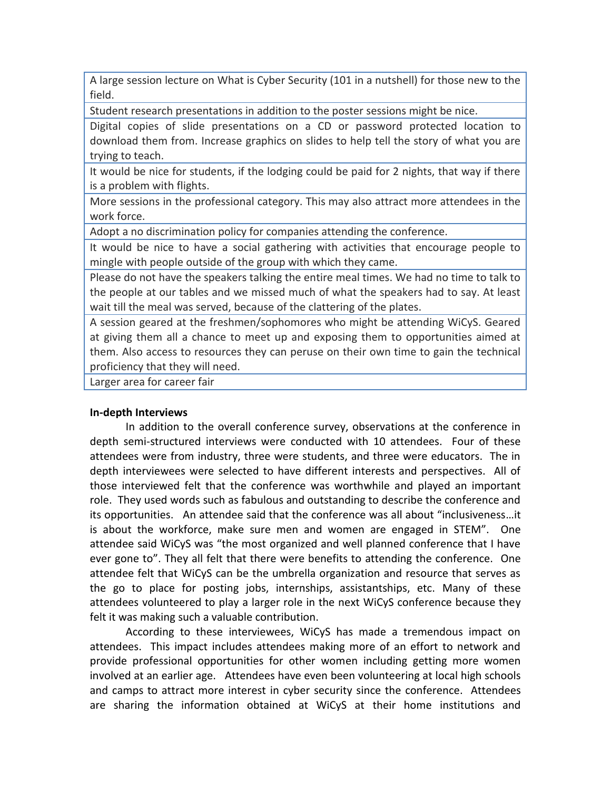A large session lecture on What is Cyber Security (101 in a nutshell) for those new to the field.

Student research presentations in addition to the poster sessions might be nice.

Digital copies of slide presentations on a CD or password protected location to download them from. Increase graphics on slides to help tell the story of what you are trying to teach.

It would be nice for students, if the lodging could be paid for 2 nights, that way if there is a problem with flights.

More sessions in the professional category. This may also attract more attendees in the work force.

Adopt a no discrimination policy for companies attending the conference.

It would be nice to have a social gathering with activities that encourage people to mingle with people outside of the group with which they came.

Please do not have the speakers talking the entire meal times. We had no time to talk to the people at our tables and we missed much of what the speakers had to say. At least wait till the meal was served, because of the clattering of the plates.

A session geared at the freshmen/sophomores who might be attending WiCyS. Geared at giving them all a chance to meet up and exposing them to opportunities aimed at them. Also access to resources they can peruse on their own time to gain the technical proficiency that they will need.

Larger area for career fair

### **In-depth Interviews**

In addition to the overall conference survey, observations at the conference in depth semi-structured interviews were conducted with 10 attendees. Four of these attendees were from industry, three were students, and three were educators. The in depth interviewees were selected to have different interests and perspectives. All of those interviewed felt that the conference was worthwhile and played an important role. They used words such as fabulous and outstanding to describe the conference and its opportunities. An attendee said that the conference was all about "inclusiveness…it is about the workforce, make sure men and women are engaged in STEM". One attendee said WiCyS was "the most organized and well planned conference that I have ever gone to". They all felt that there were benefits to attending the conference. One attendee felt that WiCyS can be the umbrella organization and resource that serves as the go to place for posting jobs, internships, assistantships, etc. Many of these attendees volunteered to play a larger role in the next WiCyS conference because they felt it was making such a valuable contribution.

According to these interviewees, WiCyS has made a tremendous impact on attendees. This impact includes attendees making more of an effort to network and provide professional opportunities for other women including getting more women involved at an earlier age. Attendees have even been volunteering at local high schools and camps to attract more interest in cyber security since the conference. Attendees are sharing the information obtained at WiCyS at their home institutions and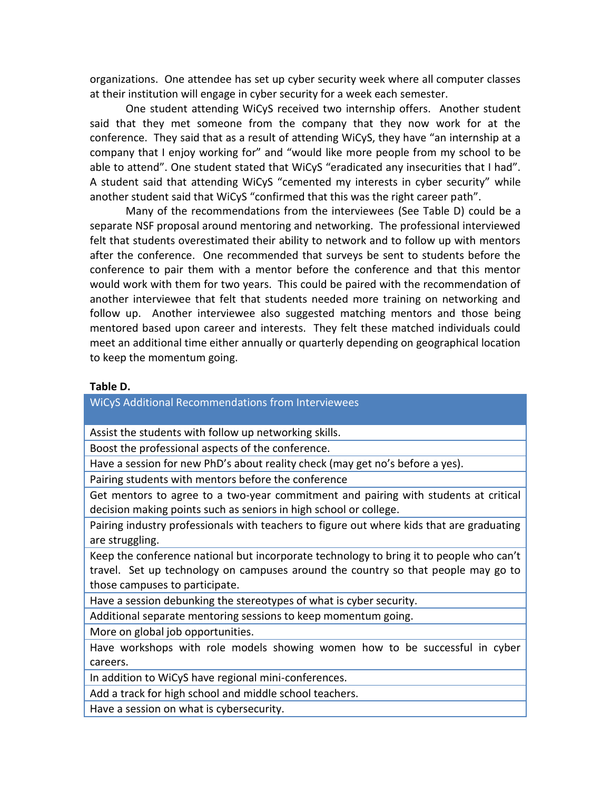organizations. One attendee has set up cyber security week where all computer classes at their institution will engage in cyber security for a week each semester.

One student attending WiCyS received two internship offers. Another student said that they met someone from the company that they now work for at the conference. They said that as a result of attending WiCyS, they have "an internship at a company that I enjoy working for" and "would like more people from my school to be able to attend". One student stated that WiCyS "eradicated any insecurities that I had". A student said that attending WiCyS "cemented my interests in cyber security" while another student said that WiCyS "confirmed that this was the right career path".

Many of the recommendations from the interviewees (See Table D) could be a separate NSF proposal around mentoring and networking. The professional interviewed felt that students overestimated their ability to network and to follow up with mentors after the conference. One recommended that surveys be sent to students before the conference to pair them with a mentor before the conference and that this mentor would work with them for two years. This could be paired with the recommendation of another interviewee that felt that students needed more training on networking and follow up. Another interviewee also suggested matching mentors and those being mentored based upon career and interests. They felt these matched individuals could meet an additional time either annually or quarterly depending on geographical location to keep the momentum going.

#### **Table D.**

WiCyS Additional Recommendations from Interviewees

Assist the students with follow up networking skills.

Boost the professional aspects of the conference.

Have a session for new PhD's about reality check (may get no's before a yes).

Pairing students with mentors before the conference

Get mentors to agree to a two-year commitment and pairing with students at critical decision making points such as seniors in high school or college.

Pairing industry professionals with teachers to figure out where kids that are graduating are struggling.

Keep the conference national but incorporate technology to bring it to people who can't travel. Set up technology on campuses around the country so that people may go to those campuses to participate.

Have a session debunking the stereotypes of what is cyber security.

Additional separate mentoring sessions to keep momentum going.

More on global job opportunities.

Have workshops with role models showing women how to be successful in cyber careers.

In addition to WiCyS have regional mini-conferences.

Add a track for high school and middle school teachers.

Have a session on what is cybersecurity.